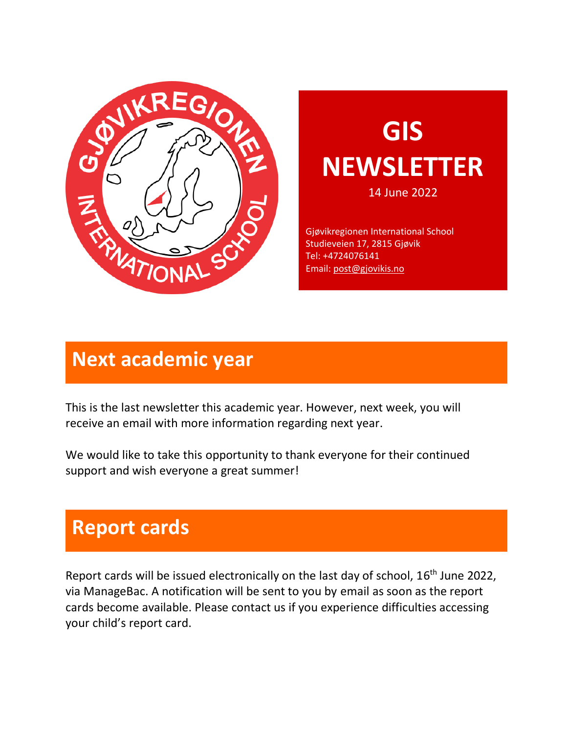

# **GIS NEWSLETTER**

14 June 2022

Gjøvikregionen International School Studieveien 17, 2815 Gjøvik Tel: +4724076141 Email: [post@gjovikis.no](mailto:post@gjovikis.no)

#### **Next academic year**

This is the last newsletter this academic year. However, next week, you will receive an email with more information regarding next year.

We would like to take this opportunity to thank everyone for their continued support and wish everyone a great summer!

### **Report cards**

Report cards will be issued electronically on the last day of school, 16<sup>th</sup> June 2022, via ManageBac. A notification will be sent to you by email as soon as the report cards become available. Please contact us if you experience difficulties accessing your child's report card.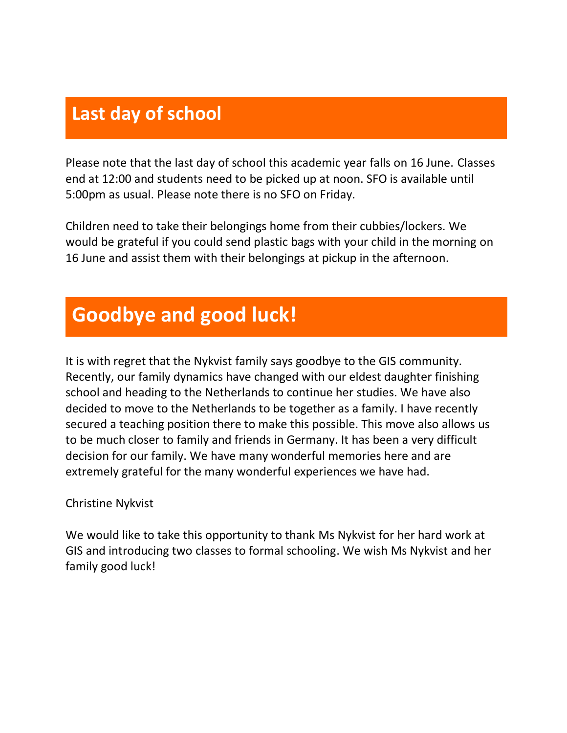#### **Last day of school**

Please note that the last day of school this academic year falls on 16 June. Classes end at 12:00 and students need to be picked up at noon. SFO is available until 5:00pm as usual. Please note there is no SFO on Friday.

Children need to take their belongings home from their cubbies/lockers. We would be grateful if you could send plastic bags with your child in the morning on 16 June and assist them with their belongings at pickup in the afternoon.

## **Goodbye and good luck!**

It is with regret that the Nykvist family says goodbye to the GIS community. Recently, our family dynamics have changed with our eldest daughter finishing school and heading to the Netherlands to continue her studies. We have also decided to move to the Netherlands to be together as a family. I have recently secured a teaching position there to make this possible. This move also allows us to be much closer to family and friends in Germany. It has been a very difficult decision for our family. We have many wonderful memories here and are extremely grateful for the many wonderful experiences we have had.

#### Christine Nykvist

We would like to take this opportunity to thank Ms Nykvist for her hard work at GIS and introducing two classes to formal schooling. We wish Ms Nykvist and her family good luck!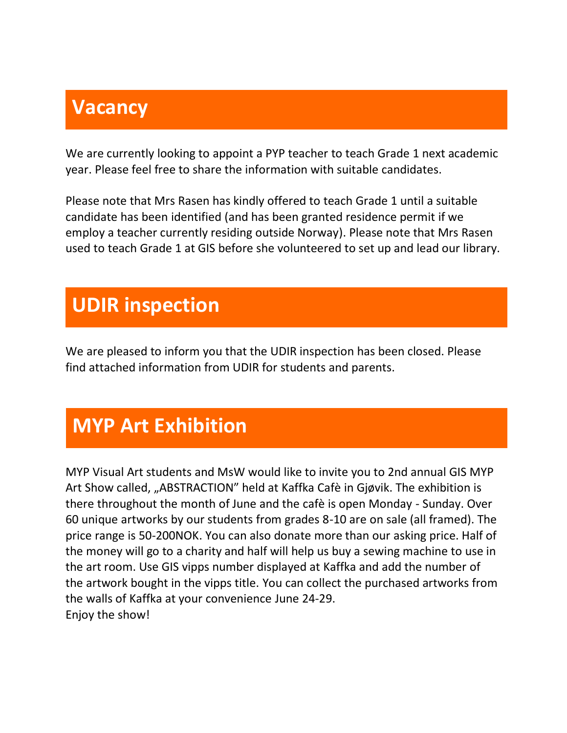#### **Vacancy**

We are currently looking to appoint a PYP teacher to teach Grade 1 next academic year. Please feel free to share the information with suitable candidates.

Please note that Mrs Rasen has kindly offered to teach Grade 1 until a suitable candidate has been identified (and has been granted residence permit if we employ a teacher currently residing outside Norway). Please note that Mrs Rasen used to teach Grade 1 at GIS before she volunteered to set up and lead our library.

# **UDIR inspection**

We are pleased to inform you that the UDIR inspection has been closed. Please find attached information from UDIR for students and parents.

# **MYP Art Exhibition**

MYP Visual Art students and MsW would like to invite you to 2nd annual GIS MYP Art Show called, "ABSTRACTION" held at Kaffka Cafè in Gjøvik. The exhibition is there throughout the month of June and the cafè is open Monday - Sunday. Over 60 unique artworks by our students from grades 8-10 are on sale (all framed). The price range is 50-200NOK. You can also donate more than our asking price. Half of the money will go to a charity and half will help us buy a sewing machine to use in the art room. Use GIS vipps number displayed at Kaffka and add the number of the artwork bought in the vipps title. You can collect the purchased artworks from the walls of Kaffka at your convenience June 24-29. Enjoy the show!